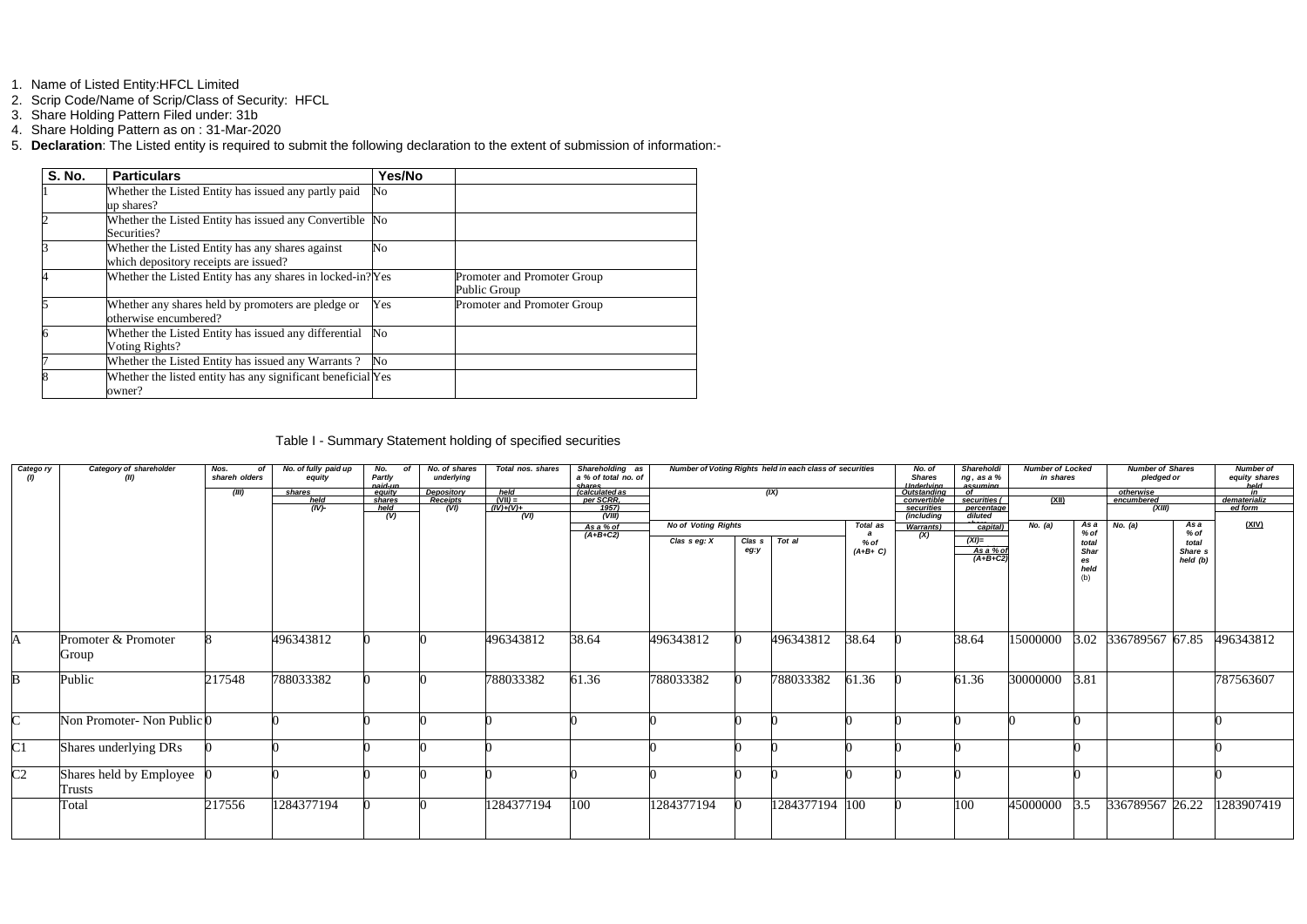- 1. Name of Listed Entity:HFCL Limited
- 2. Scrip Code/Name of Scrip/Class of Security: HFCL
- 3. Share Holding Pattern Filed under: 31b
- 4. Share Holding Pattern as on : 31-Mar-2020
- 5. **Declaration**: The Listed entity is required to submit the following declaration to the extent of submission of information:-

| <b>S. No.</b> | <b>Particulars</b>                                           | Yes/No         |                             |
|---------------|--------------------------------------------------------------|----------------|-----------------------------|
|               | Whether the Listed Entity has issued any partly paid         | No             |                             |
|               | up shares?                                                   |                |                             |
|               | Whether the Listed Entity has issued any Convertible No      |                |                             |
|               | Securities?                                                  |                |                             |
|               | Whether the Listed Entity has any shares against             | No             |                             |
|               | which depository receipts are issued?                        |                |                             |
|               | Whether the Listed Entity has any shares in locked-in? Yes   |                | Promoter and Promoter Group |
|               |                                                              |                | Public Group                |
|               | Whether any shares held by promoters are pledge or           | Yes            | Promoter and Promoter Group |
|               | otherwise encumbered?                                        |                |                             |
|               | Whether the Listed Entity has issued any differential        | $\rm No$       |                             |
|               | Voting Rights?                                               |                |                             |
|               | Whether the Listed Entity has issued any Warrants?           | N <sub>o</sub> |                             |
|               | Whether the listed entity has any significant beneficial Yes |                |                             |
|               | owner?                                                       |                |                             |

Table I - Summary Statement holding of specified securities

| Catego ry           | Category of shareholder<br>(II)       | Nos.<br>of<br>shareh olders | No. of fully paid up<br>equity | No.<br>of<br>Partly<br>naid-un  | No. of shares<br>underlying    | Total nos. shares                             | Shareholding as<br>a % of total no. of                            |                            |                   | Number of Voting Rights held in each class of securities |                   | No. of<br><b>Shares</b><br><u>Underlying</u>           | Shareholdi<br>ng, as a %<br>assuming         | <b>Number of Locked</b><br>in shares |                                    | <b>Number of Shares</b><br>pledged or |                                | <b>Number of</b><br>equity shares<br>held |
|---------------------|---------------------------------------|-----------------------------|--------------------------------|---------------------------------|--------------------------------|-----------------------------------------------|-------------------------------------------------------------------|----------------------------|-------------------|----------------------------------------------------------|-------------------|--------------------------------------------------------|----------------------------------------------|--------------------------------------|------------------------------------|---------------------------------------|--------------------------------|-------------------------------------------|
|                     |                                       | (III)                       | shares<br>held<br>(IV)         | eauitv<br>shares<br>held<br>(V) | Depository<br>Receipts<br>(VI) | $\frac{held}{(VII)} =$<br>$(IV)+(V)+$<br>(VI) | shares<br><i>(calculated as<br/>per SCRR</i> .<br>1957)<br>(VIII) |                            |                   | (IX)                                                     |                   | Outstanding<br>convertible<br>securities<br>(including | nf.<br>securities (<br>percentage<br>diluted | <u>(XII)</u>                         |                                    | otherwise<br>encumbered<br>(XIII)     |                                | dematerializ<br>ed form                   |
|                     |                                       |                             |                                |                                 |                                |                                               | <u>As a % of</u><br>(A+B+C2)                                      | <b>No of Voting Rights</b> |                   |                                                          | Total as          | Warrants)                                              | capital)                                     | No. (a)                              | As a<br>% of                       | No. (a)                               | As a<br>$%$ of                 | (XIV)                                     |
|                     |                                       |                             |                                |                                 |                                |                                               |                                                                   | Clas $s$ eg: $X$           | $Class$ s<br>eg:y | Tot al                                                   | % of<br>$(A+B+C)$ | (X)                                                    | $(XI)=$<br>As a % of<br>(A+B+C2)             |                                      | total<br>Shar<br>es<br>held<br>(b) |                                       | total<br>Share s<br>held $(b)$ |                                           |
|                     | Promoter & Promoter<br>Group          |                             | 496343812                      |                                 |                                | 496343812                                     | 38.64                                                             | 496343812                  |                   | 496343812                                                | 38.64             |                                                        | 38.64                                        | 15000000                             |                                    | 3.02 336789567 67.85                  |                                | 496343812                                 |
|                     | Public                                | 217548                      | 788033382                      |                                 |                                | 788033382                                     | 61.36                                                             | 788033382                  |                   | 788033382                                                | 61.36             |                                                        | 61.36                                        | 30000000                             | 3.81                               |                                       |                                | 787563607                                 |
| $\sim$              | Non Promoter- Non Public <sup>0</sup> |                             |                                |                                 |                                |                                               |                                                                   |                            |                   |                                                          |                   |                                                        |                                              |                                      |                                    |                                       |                                |                                           |
| $\overline{\rm C1}$ | Shares underlying DRs                 |                             |                                |                                 |                                |                                               |                                                                   |                            |                   |                                                          |                   |                                                        |                                              |                                      |                                    |                                       |                                |                                           |
| C <sub>2</sub>      | Shares held by Employee<br>Trusts     |                             |                                |                                 |                                |                                               |                                                                   |                            |                   |                                                          |                   |                                                        |                                              |                                      |                                    |                                       |                                |                                           |
|                     | Total                                 | 217556                      | 1284377194                     |                                 |                                | 1284377194                                    | 100                                                               | 1284377194                 |                   | 1284377194 100                                           |                   |                                                        | 100                                          | 45000000                             | 3.5                                | 336789567 26.22                       |                                | 1283907419                                |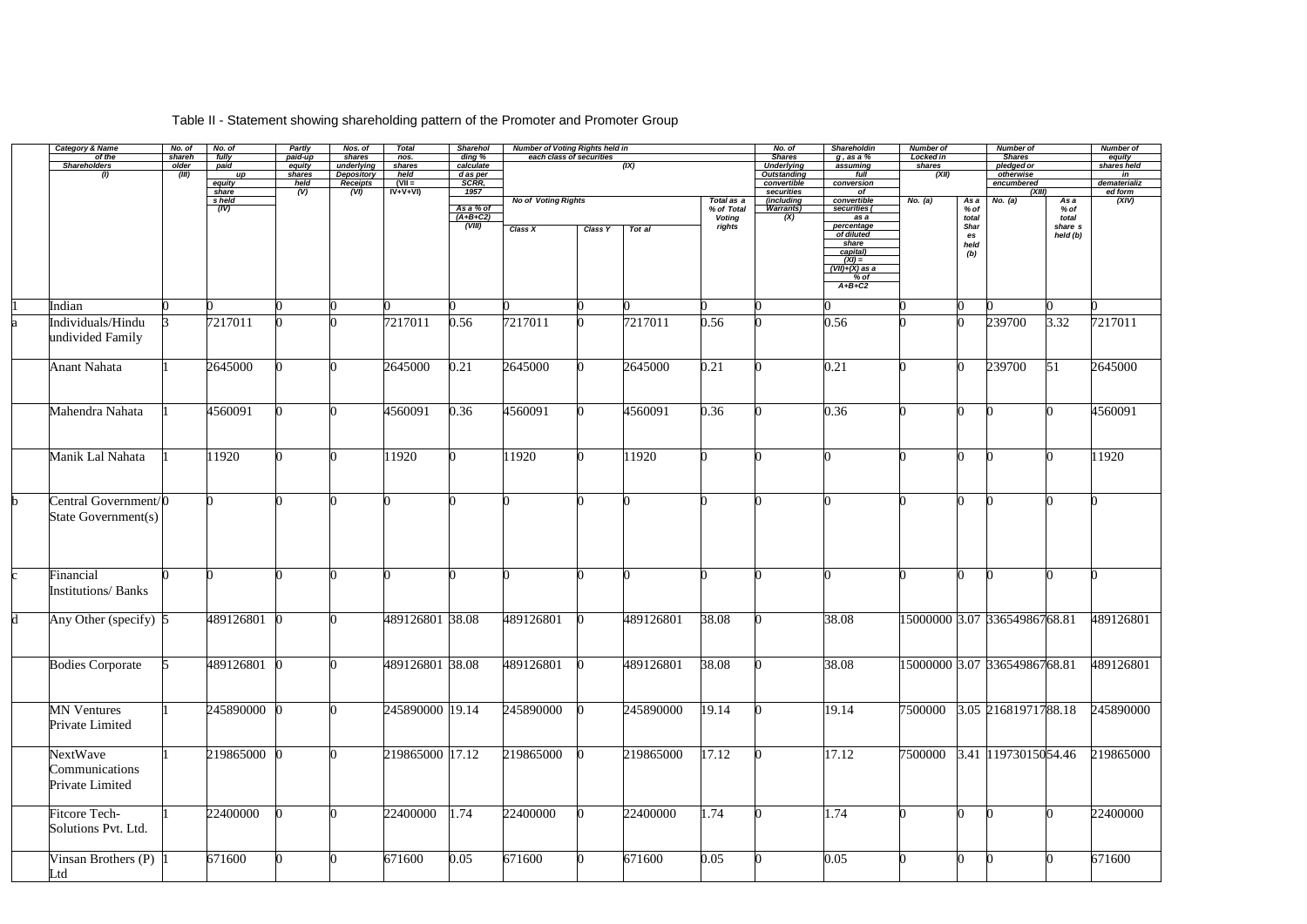## Category & Name No. of No. of Partly Nos. of Total Sharehol Number of Voting Rights held in No. of Shareholdin Number of Shareholdin Number of Shareholdin Number of Shareholdin Number of Shareholdin Number of Shareholdin N of the shareh fully | paid-up | shares | nos. | ding % | each class of securities | Shares | g, as a % | Locked in | Shares | Shares | equity *Shareholders older paid equity underlying shares calculate (IX) Underlying assuming shares pledged or shares held (I) (III) up shares Depository held d as per Outstanding full (XII) otherwise in equity held Receipts* **(VII =** *SCRR, convertible conversion encumbered dematerializ share (V) (VI)* **IV+V+VI)** *1957 securities of (XIII) ed form share held Receipts (VII = SCRR, share <i>(V) (VI) VV*+V+VI) 1957<br> *share (V) (VI) VV+V+VI)* 1957<br> *Asa* % of *Voting Rights Voting Rights 7 otal as a a a y* % of *Total as a a y* % of *T % of Total Voting rights (including convertible No. (a)*<br> *Warrants*) securities ( *% of total Shar es held (b) (IV) As a % of Warrants) securities ( (A+B+C2) (X) as a (A+B+C2)*<br> *(VIII) Class X Class Y Tot al class ignits Class <i>X class X class Y Tot al of diluted share capital) (XI) = (VII)+(X) as a % of A+B+C2* 1 Indian 0 0 0 0 0 0 0 0 0 0 0 0 0 0 0 0 0 Individuals/Hindu undivided Family 3 7217011 0 0 7217011 0.56 7217011 0 7217011 0.56 0 0.56 0 0 239700 3.32 7217011 Anant Nahata |1 |2645000 |0 |0 |2645000 |0.21 |2645000 |0 |2645000 |0.21 |0 |0.21 |0 |0 |239700 |51 |2645000 Mahendra Nahata |1 |4560091 |0 |0 |4560091 |0.36 |4560091 |0 |4560091 |0.36 |0 |0.36 |0 |0 |0 |0 |4560091 Manik Lal Nahata |1 ||1920 |0 ||0 ||1920 ||0 ||1920 ||0 ||1920 ||0 ||0 ||0 ||0 ||1920 ||0 ||0 ||1920 Central Government/0 State Government(s) 0 0 0 0 0 0 0 0 0 0 0 0 0 0 0 0 0 Financial Institutions/ Banks 0 0 0 0 0 0 0 0 0 0 0 0 0 0 0 0 0 d Any Other (specify) 5 489126801 0 0 489126801 38.08 489126801 0 489126801 38.08 0 38.08 15000000 3.07 33654986768.81 489126801 Bodies Corporate 5 489126801 0 0 489126801 38.08 489126801 0 489126801 38.08 0 38.08 15000000 3.07 33654986768.81 489126801 MN Ventures Private Limited 1 245890000 0 0 245890000 19.14 245890000 0 245890000 19.14 0 19.14 7500000 3.05 21681971788.18 245890000 NextWave **Communications** Private Limited 1 219865000 0 0 219865000 17.12 219865000 0 219865000 17.12 0 17.12 7500000 3.41 11973015054.46 219865000 Fitcore Tech-Solutions Pvt. Ltd. 1 22400000 0 0 22400000 1.74 22400000 0 22400000 1.74 0 1.74 0 0 0 0 0 22400000 Vinsan Brothers (P) Ltd 1 671600 0 0 671600 0.05 671600 0 671600 0.05 0 0.05 0 0.05 0 0 0 0 671600

## Table II - Statement showing shareholding pattern of the Promoter and Promoter Group

| Number of               |                                              | Number of         |
|-------------------------|----------------------------------------------|-------------------|
| <b>Shares</b>           |                                              | equity            |
| pledged or<br>otherwise |                                              | shares held<br>in |
| encumbered              |                                              | dematerializ      |
| (XIII)                  |                                              | ed form           |
| No. (a)                 | As a<br>% of<br>total<br>share s<br>held (b) | (XIV)             |
| 0                       | 0                                            | 0                 |
|                         |                                              |                   |
| 239700                  | 3.32                                         | 7217011           |
| 239700                  | 51                                           | 2645000           |
| 0                       | 0                                            | 4560091           |
| $\overline{0}$          | $\overline{0}$                               | 11920             |
| 0                       | 0                                            | 0                 |
| 0                       | $\rm 0$                                      | 0                 |
| 33654986768.81          |                                              | 489126801         |
| 33654986768.81          |                                              | 489126801         |
| 21681971788.18          |                                              | 245890000         |
| 11973015054.46          |                                              | 219865000         |
| $\overline{0}$          | $\overline{0}$                               | 22400000          |
| $\overline{0}$          | $\overline{0}$                               | 671600            |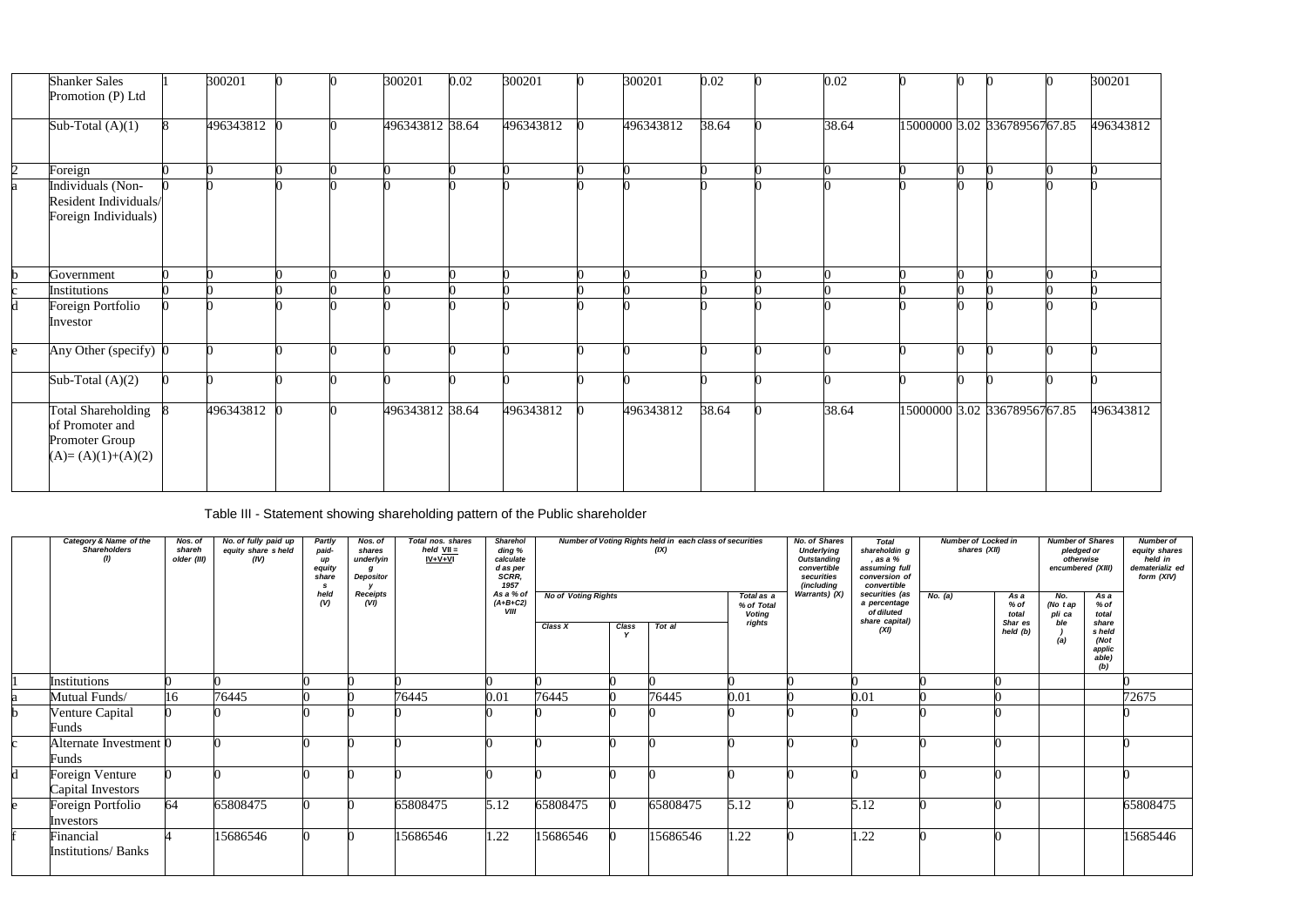|                | <b>Shanker Sales</b><br>Promotion (P) Ltd                                      | 300201    |  | 300201          | 0.02 | 300201    | 300201    | 0.02  | 0.02  |  |                               | 300201    |
|----------------|--------------------------------------------------------------------------------|-----------|--|-----------------|------|-----------|-----------|-------|-------|--|-------------------------------|-----------|
|                | Sub-Total $(A)(1)$                                                             | 496343812 |  | 496343812 38.64 |      | 496343812 | 496343812 | 38.64 | 38.64 |  | 15000000 3.02 336789567 67.85 | 496343812 |
| $\overline{2}$ | Foreign                                                                        |           |  |                 |      |           |           |       |       |  |                               |           |
| a              | Individuals (Non-<br>Resident Individuals/<br>Foreign Individuals)             |           |  |                 |      |           |           |       |       |  |                               |           |
|                | Government                                                                     |           |  |                 |      |           |           |       |       |  |                               |           |
|                | Institutions                                                                   |           |  |                 |      |           |           |       |       |  |                               |           |
|                | Foreign Portfolio<br>Investor                                                  |           |  |                 |      |           |           |       |       |  |                               |           |
| e.             | Any Other (specify) 0                                                          |           |  |                 |      |           |           |       |       |  |                               |           |
|                | Sub-Total $(A)(2)$                                                             |           |  |                 |      |           |           |       |       |  |                               |           |
|                | Total Shareholding<br>of Promoter and<br>Promoter Group<br>$(A)=(A)(1)+(A)(2)$ | 496343812 |  | 496343812 38.64 |      | 496343812 | 496343812 | 38.64 | 38.64 |  | 15000000 3.02 336789567 67.85 | 496343812 |

Table III - Statement showing shareholding pattern of the Public shareholder

| Category & Name of the<br><b>Shareholders</b><br>$\left( I\right)$ | Nos. of<br>shareh<br>older (III) | No. of fully paid up<br>equity share sheld<br>(IV) | Partly<br>paid-<br>up<br>equity<br>share<br>-S<br>held<br>(V) | Nos. of<br>shares<br>underlyin<br>a<br>Depositor<br><b>Receipts</b><br>(VI) | Total nos. shares<br>held $VII =$<br>IV+V+VI | <b>Sharehol</b><br>ding %<br>calculate<br>d as per<br>SCRR.<br>1957<br>As a % of<br>$(A+B+C2)$<br>VIII | <b>No of Voting Rights</b> |                      | Number of Voting Rights held in each class of securities<br>(IX) | Total as a<br>% of Total<br><b>Voting</b> | <b>No. of Shares</b><br><b>Underlying</b><br><b>Outstanding</b><br>convertible<br>securities<br>(including<br>Warrants) (X) | <b>Total</b><br>shareholdin g<br>, as a %<br>assuming full<br>conversion of<br>convertible<br>securities (as<br>a percentage<br>of diluted | <b>Number of Locked in</b><br>shares (XII)<br>No. (a) | As a<br>% of<br>total | <b>Number of Shares</b><br>pledged or<br>otherwise<br>encumbered (XIII)<br>No.<br>(No $t$ ap<br>pli ca | As a<br>% of<br>total                             | <b>Number of</b><br>equity shares<br>held in<br>dematerializ ed<br>form (XIV) |
|--------------------------------------------------------------------|----------------------------------|----------------------------------------------------|---------------------------------------------------------------|-----------------------------------------------------------------------------|----------------------------------------------|--------------------------------------------------------------------------------------------------------|----------------------------|----------------------|------------------------------------------------------------------|-------------------------------------------|-----------------------------------------------------------------------------------------------------------------------------|--------------------------------------------------------------------------------------------------------------------------------------------|-------------------------------------------------------|-----------------------|--------------------------------------------------------------------------------------------------------|---------------------------------------------------|-------------------------------------------------------------------------------|
|                                                                    |                                  |                                                    |                                                               |                                                                             |                                              |                                                                                                        | Class X                    | Class<br>$\mathbf v$ | Tot al                                                           | rights                                    |                                                                                                                             | share capital)<br>(XI)                                                                                                                     |                                                       | Shar es<br>held (b)   | ble<br>(a)                                                                                             | share<br>s held<br>(Not<br>applic<br>able)<br>(b) |                                                                               |
| <b>Institutions</b>                                                |                                  |                                                    |                                                               |                                                                             |                                              |                                                                                                        |                            |                      |                                                                  |                                           |                                                                                                                             |                                                                                                                                            |                                                       |                       |                                                                                                        |                                                   |                                                                               |
| Mutual Funds/                                                      | 16                               | 76445                                              |                                                               |                                                                             | 76445                                        | 0.01                                                                                                   | 76445                      |                      | 76445                                                            | 0.01                                      |                                                                                                                             | 0.01                                                                                                                                       |                                                       |                       |                                                                                                        |                                                   | 72675                                                                         |
| Venture Capital<br>Funds                                           |                                  |                                                    |                                                               |                                                                             |                                              |                                                                                                        |                            |                      |                                                                  |                                           |                                                                                                                             |                                                                                                                                            |                                                       |                       |                                                                                                        |                                                   |                                                                               |
| Alternate Investment 0<br>Funds                                    |                                  |                                                    |                                                               |                                                                             |                                              |                                                                                                        |                            |                      |                                                                  |                                           |                                                                                                                             |                                                                                                                                            |                                                       |                       |                                                                                                        |                                                   |                                                                               |
| Foreign Venture<br>Capital Investors                               |                                  |                                                    |                                                               |                                                                             |                                              |                                                                                                        |                            |                      |                                                                  |                                           |                                                                                                                             |                                                                                                                                            |                                                       |                       |                                                                                                        |                                                   |                                                                               |
| Foreign Portfolio<br>Investors                                     | 64                               | 65808475                                           |                                                               |                                                                             | 65808475                                     | 5.12                                                                                                   | 65808475                   |                      | 65808475                                                         | 5.12                                      |                                                                                                                             | 5.12                                                                                                                                       |                                                       |                       |                                                                                                        |                                                   | 65808475                                                                      |
| Financial<br><b>Institutions/Banks</b>                             |                                  | 15686546                                           |                                                               |                                                                             | 15686546                                     | 1.22                                                                                                   | 15686546                   |                      | 15686546                                                         | 1.22                                      |                                                                                                                             | 1.22                                                                                                                                       |                                                       |                       |                                                                                                        |                                                   | 15685446                                                                      |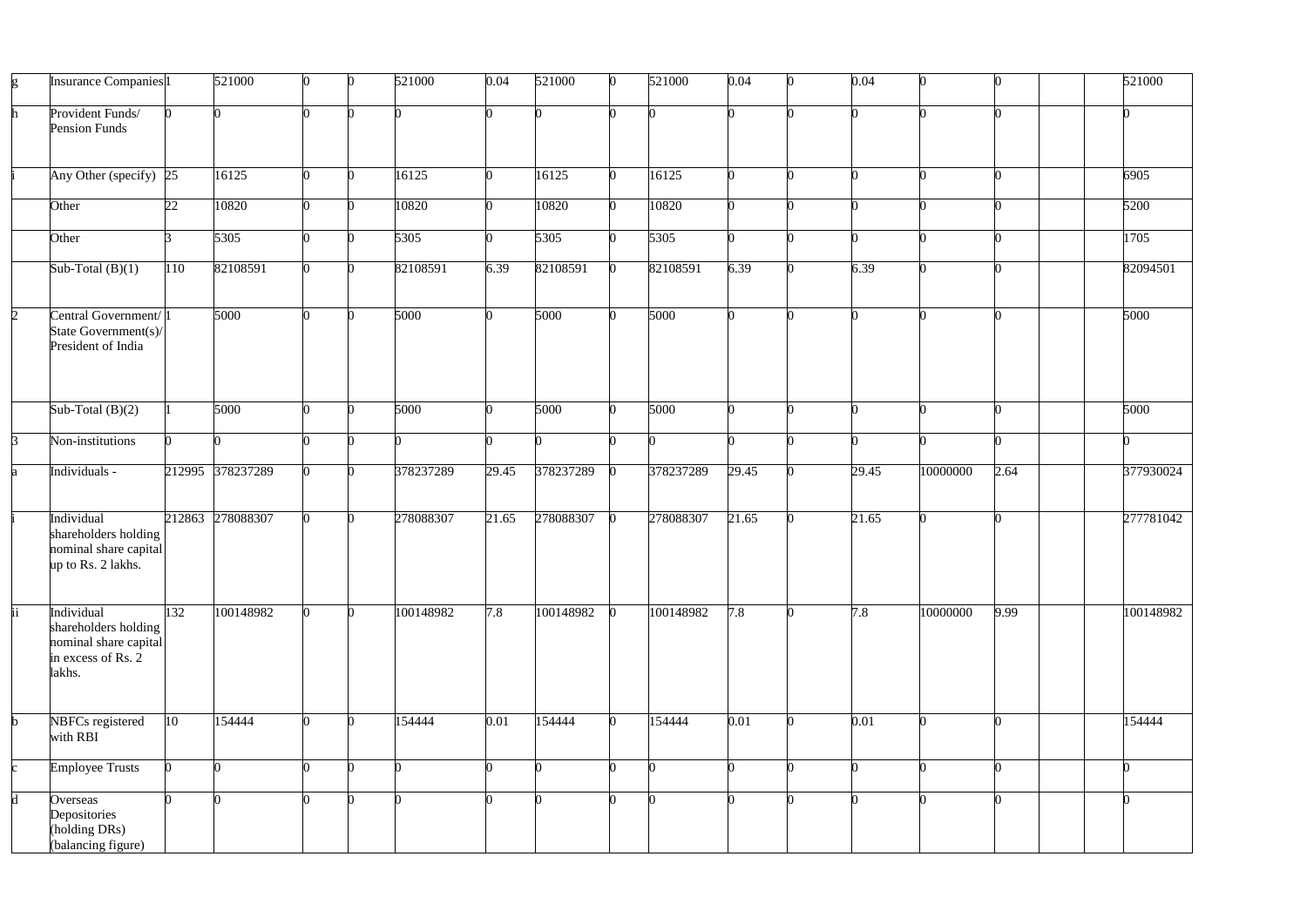| g              | Insurance Companies <sup>1</sup>                                                            |              | 521000           |   | 521000    | 0.04  | 521000    | 521000    | 0.04  | 0.04  | n        |      | 521000    |
|----------------|---------------------------------------------------------------------------------------------|--------------|------------------|---|-----------|-------|-----------|-----------|-------|-------|----------|------|-----------|
| h              | Provident Funds/<br><b>Pension Funds</b>                                                    |              |                  |   |           |       |           |           |       |       |          |      |           |
|                | Any Other (specify) $ 25 $                                                                  |              | 16125            | ∩ | 16125     |       | 16125     | 16125     |       |       |          |      | 6905      |
|                | Other                                                                                       | 22           | 10820            |   | 10820     |       | 10820     | 10820     |       |       |          |      | 5200      |
|                | Other                                                                                       |              | 5305             |   | 5305      |       | 5305      | 5305      |       |       |          |      | 1705      |
|                | Sub-Total $(B)(1)$                                                                          | 110          | 82108591         |   | 82108591  | 6.39  | 82108591  | 82108591  | 6.39  | 6.39  |          |      | 82094501  |
| $\overline{2}$ | Central Government/1<br>State Government(s)/<br>President of India                          |              | 5000             |   | 5000      |       | 5000      | 5000      |       |       |          |      | 5000      |
|                | Sub-Total $(B)(2)$                                                                          |              | 5000             |   | 5000      |       | 5000      | 5000      |       |       |          |      | 5000      |
| 3              | Non-institutions                                                                            |              |                  |   |           |       |           |           |       |       |          |      |           |
| a              | Individuals -                                                                               |              | 212995 378237289 |   | 378237289 | 29.45 | 378237289 | 378237289 | 29.45 | 29.45 | 10000000 | 2.64 | 377930024 |
|                | Individual<br>shareholders holding<br>nominal share capital<br>up to Rs. 2 lakhs.           |              | 212863 278088307 |   | 278088307 | 21.65 | 278088307 | 278088307 | 21.65 | 21.65 |          |      | 277781042 |
| ii             | Individual<br>shareholders holding<br>nominal share capital<br>in excess of Rs. 2<br>lakhs. | 132          | 100148982        |   | 100148982 | 7.8   | 100148982 | 100148982 | 7.8   | 7.8   | 10000000 | 9.99 | 100148982 |
| b.             | NBFCs registered<br>with RBI                                                                | $ 10\rangle$ | 154444           |   | 154444    | 0.01  | 154444    | 154444    | 0.01  | 0.01  | ∩        |      | 154444    |
| C.             | <b>Employee Trusts</b>                                                                      |              |                  | ∩ |           |       |           |           |       |       |          |      |           |
| d              | Overseas<br>Depositories<br>(holding DRs)<br>(balancing figure)                             |              |                  |   |           |       |           |           |       |       |          |      |           |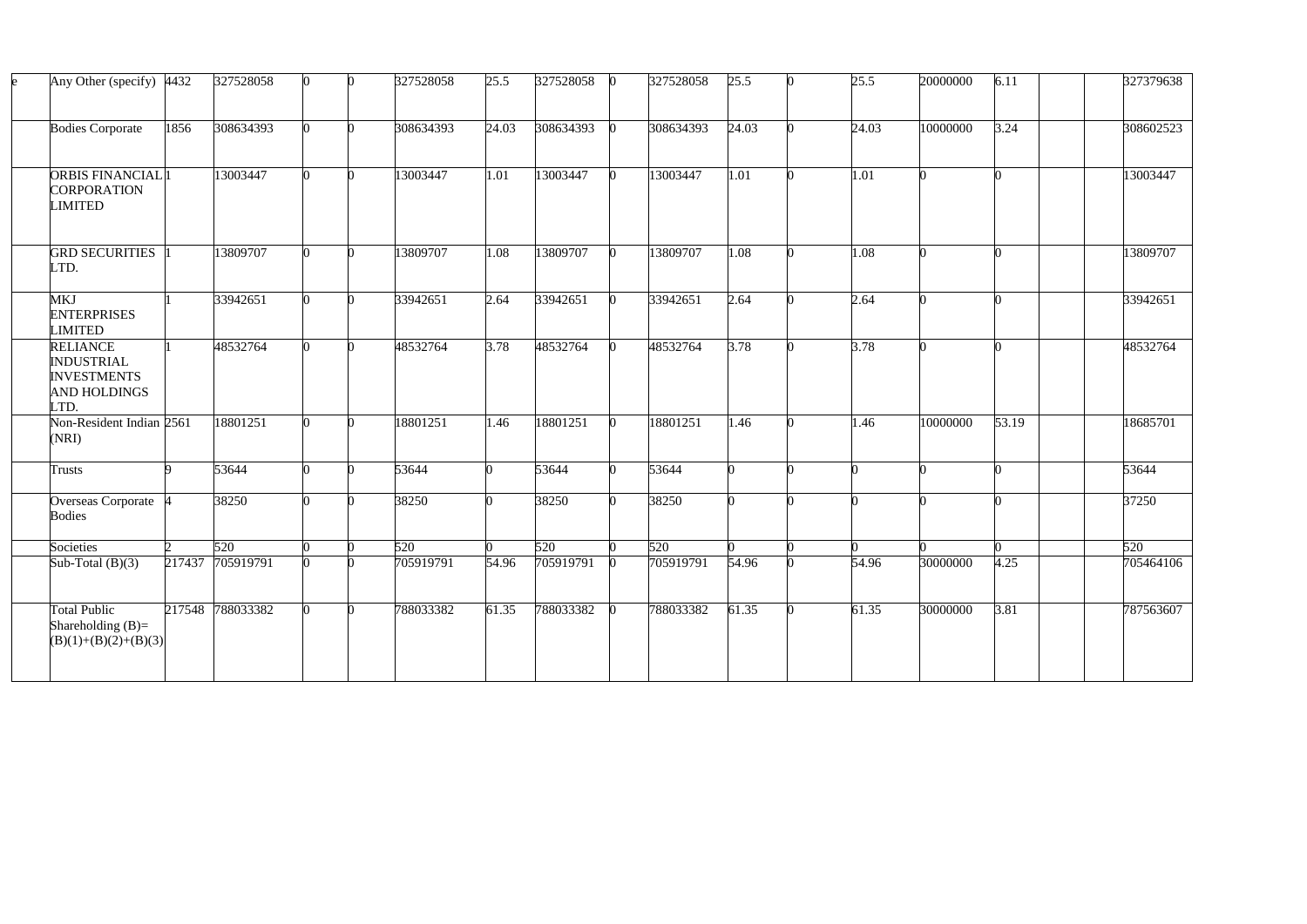| Any Other (specify)                                                                       | 4432 | 327528058        |  | 327528058 | 25.5  | 327528058 | 327528058 | 25.5  | 25.5  | 20000000 | 6.11  | 327379638 |
|-------------------------------------------------------------------------------------------|------|------------------|--|-----------|-------|-----------|-----------|-------|-------|----------|-------|-----------|
| <b>Bodies Corporate</b>                                                                   | 1856 | 308634393        |  | 308634393 | 24.03 | 308634393 | 308634393 | 24.03 | 24.03 | 10000000 | 3.24  | 308602523 |
| <b>ORBIS FINANCIAL</b> <sup>1</sup><br><b>CORPORATION</b><br>LIMITED                      |      | 13003447         |  | 13003447  | 1.01  | 13003447  | 13003447  | 1.01  | 1.01  |          |       | 13003447  |
| <b>GRD SECURITIES</b><br>LTD.                                                             |      | 13809707         |  | 13809707  | 1.08  | 13809707  | 13809707  | 1.08  | 1.08  |          |       | 13809707  |
| MKJ<br><b>ENTERPRISES</b><br>LIMITED                                                      |      | 33942651         |  | 33942651  | 2.64  | 33942651  | 33942651  | 2.64  | 2.64  |          |       | 33942651  |
| <b>RELIANCE</b><br><b>INDUSTRIAL</b><br><b>INVESTMENTS</b><br><b>AND HOLDINGS</b><br>LTD. |      | 48532764         |  | 48532764  | 3.78  | 48532764  | 48532764  | 3.78  | 3.78  |          |       | 48532764  |
| Non-Resident Indian 2561<br>(NRI)                                                         |      | 18801251         |  | 18801251  | 1.46  | 18801251  | 18801251  | 1.46  | 1.46  | 10000000 | 53.19 | 18685701  |
| <b>Trusts</b>                                                                             |      | 53644            |  | 53644     |       | 53644     | 53644     |       |       |          |       | 53644     |
| <b>Overseas Corporate</b><br><b>Bodies</b>                                                |      | 38250            |  | 38250     |       | 38250     | 38250     |       |       |          |       | 37250     |
| Societies                                                                                 |      | 520              |  | 520       |       | 520       | 520       |       |       |          |       | 520       |
| Sub-Total $(B)(3)$                                                                        |      | 217437 705919791 |  | 705919791 | 54.96 | 705919791 | 705919791 | 54.96 | 54.96 | 30000000 | 4.25  | 705464106 |
| <b>Total Public</b><br>Shareholding $(B)=$<br>$(B)(1)+(B)(2)+(B)(3)$                      |      | 217548 788033382 |  | 788033382 | 61.35 | 788033382 | 788033382 | 61.35 | 61.35 | 30000000 | 3.81  | 787563607 |